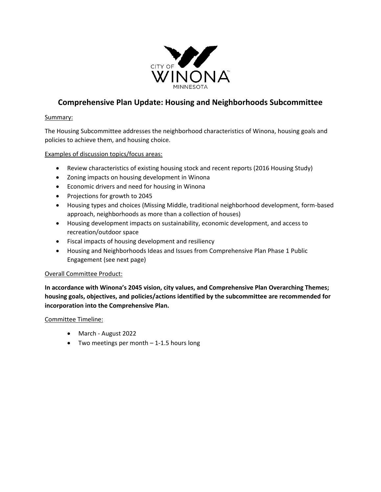

# **Comprehensive Plan Update: Housing and Neighborhoods Subcommittee**

#### Summary:

The Housing Subcommittee addresses the neighborhood characteristics of Winona, housing goals and policies to achieve them, and housing choice.

#### Examples of discussion topics/focus areas:

- Review characteristics of existing housing stock and recent reports (2016 Housing Study)
- Zoning impacts on housing development in Winona
- Economic drivers and need for housing in Winona
- Projections for growth to 2045
- Housing types and choices (Missing Middle, traditional neighborhood development, form-based approach, neighborhoods as more than a collection of houses)
- Housing development impacts on sustainability, economic development, and access to recreation/outdoor space
- Fiscal impacts of housing development and resiliency
- Housing and Neighborhoods Ideas and Issues from Comprehensive Plan Phase 1 Public Engagement (see next page)

#### Overall Committee Product:

**In accordance with Winona's 2045 vision, city values, and Comprehensive Plan Overarching Themes; housing goals, objectives, and policies/actions identified by the subcommittee are recommended for incorporation into the Comprehensive Plan.**

Committee Timeline:

- March August 2022
- Two meetings per month 1-1.5 hours long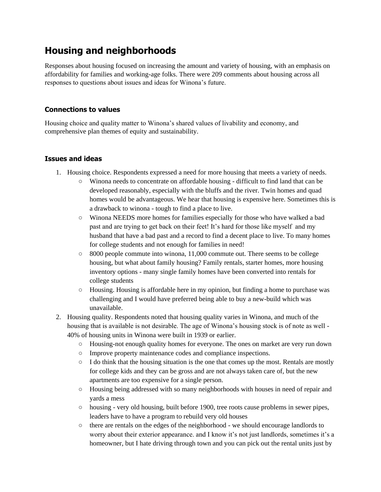# **Housing and neighborhoods**

Responses about housing focused on increasing the amount and variety of housing, with an emphasis on affordability for families and working-age folks. There were 209 comments about housing across all responses to questions about issues and ideas for Winona's future.

## **Connections to values**

Housing choice and quality matter to Winona's shared values of livability and economy, and comprehensive plan themes of equity and sustainability.

### **Issues and ideas**

- 1. Housing choice. Respondents expressed a need for more housing that meets a variety of needs.
	- Winona needs to concentrate on affordable housing difficult to find land that can be developed reasonably, especially with the bluffs and the river. Twin homes and quad homes would be advantageous. We hear that housing is expensive here. Sometimes this is a drawback to winona - tough to find a place to live.
	- Winona NEEDS more homes for families especially for those who have walked a bad past and are trying to get back on their feet! It's hard for those like myself and my husband that have a bad past and a record to find a decent place to live. To many homes for college students and not enough for families in need!
	- $\circ$  8000 people commute into winona, 11,000 commute out. There seems to be college housing, but what about family housing? Family rentals, starter homes, more housing inventory options - many single family homes have been converted into rentals for college students
	- $\circ$  Housing. Housing is affordable here in my opinion, but finding a home to purchase was challenging and I would have preferred being able to buy a new-build which was unavailable.
- 2. Housing quality. Respondents noted that housing quality varies in Winona, and much of the housing that is available is not desirable. The age of Winona's housing stock is of note as well - 40% of housing units in Winona were built in 1939 or earlier.
	- Housing-not enough quality homes for everyone. The ones on market are very run down
	- Improve property maintenance codes and compliance inspections.
	- $\circ$  I do think that the housing situation is the one that comes up the most. Rentals are mostly for college kids and they can be gross and are not always taken care of, but the new apartments are too expensive for a single person.
	- Housing being addressed with so many neighborhoods with houses in need of repair and yards a mess
	- housing very old housing, built before 1900, tree roots cause problems in sewer pipes, leaders have to have a program to rebuild very old houses
	- $\circ$  there are rentals on the edges of the neighborhood we should encourage landlords to worry about their exterior appearance. and I know it's not just landlords, sometimes it's a homeowner, but I hate driving through town and you can pick out the rental units just by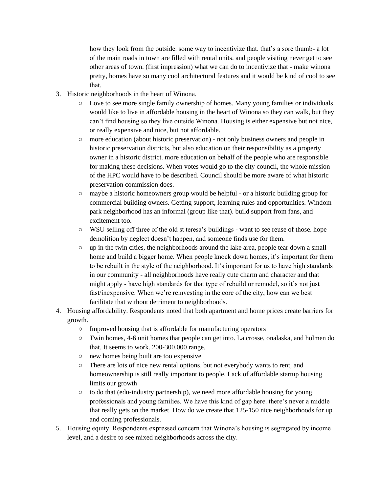how they look from the outside. some way to incentivize that. that's a sore thumb- a lot of the main roads in town are filled with rental units, and people visiting never get to see other areas of town. (first impression) what we can do to incentivize that - make winona pretty, homes have so many cool architectural features and it would be kind of cool to see that.

- 3. Historic neighborhoods in the heart of Winona.
	- Love to see more single family ownership of homes. Many young families or individuals would like to live in affordable housing in the heart of Winona so they can walk, but they can't find housing so they live outside Winona. Housing is either expensive but not nice, or really expensive and nice, but not affordable.
	- more education (about historic preservation) not only business owners and people in historic preservation districts, but also education on their responsibility as a property owner in a historic district. more education on behalf of the people who are responsible for making these decisions. When votes would go to the city council, the whole mission of the HPC would have to be described. Council should be more aware of what historic preservation commission does.
	- maybe a historic homeowners group would be helpful or a historic building group for commercial building owners. Getting support, learning rules and opportunities. Windom park neighborhood has an informal (group like that). build support from fans, and excitement too.
	- WSU selling off three of the old st teresa's buildings want to see reuse of those. hope demolition by neglect doesn't happen, and someone finds use for them.
	- up in the twin cities, the neighborhoods around the lake area, people tear down a small home and build a bigger home. When people knock down homes, it's important for them to be rebuilt in the style of the neighborhood. It's important for us to have high standards in our community - all neighborhoods have really cute charm and character and that might apply - have high standards for that type of rebuild or remodel, so it's not just fast/inexpensive. When we're reinvesting in the core of the city, how can we best facilitate that without detriment to neighborhoods.
- 4. Housing affordability. Respondents noted that both apartment and home prices create barriers for growth.
	- Improved housing that is affordable for manufacturing operators
	- Twin homes, 4-6 unit homes that people can get into. La crosse, onalaska, and holmen do that. It seems to work. 200-300,000 range.
	- new homes being built are too expensive
	- There are lots of nice new rental options, but not everybody wants to rent, and homeownership is still really important to people. Lack of affordable startup housing limits our growth
	- to do that (edu-industry partnership), we need more affordable housing for young professionals and young families. We have this kind of gap here. there's never a middle that really gets on the market. How do we create that 125-150 nice neighborhoods for up and coming professionals.
- 5. Housing equity. Respondents expressed concern that Winona's housing is segregated by income level, and a desire to see mixed neighborhoods across the city.